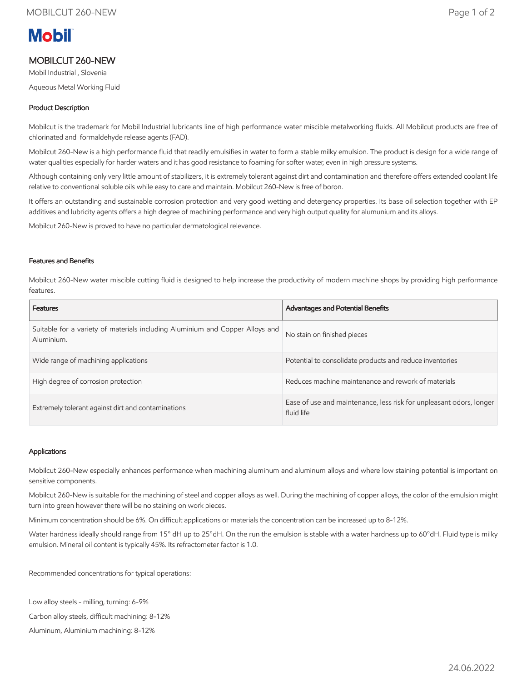# **Mobil**

## MOBILCUT 260-NEW

Mobil Industrial , Slovenia

Aqueous Metal Working Fluid

### Product Description

Mobilcut is the trademark for Mobil Industrial lubricants line of high performance water miscible metalworking fluids. All Mobilcut products are free of chlorinated and formaldehyde release agents (FAD).

Mobilcut 260-New is a high performance fluid that readily emulsifies in water to form a stable milky emulsion. The product is design for a wide range of water qualities especially for harder waters and it has good resistance to foaming for softer water, even in high pressure systems.

Although containing only very little amount of stabilizers, it is extremely tolerant against dirt and contamination and therefore offers extended coolant life relative to conventional soluble oils while easy to care and maintain. Mobilcut 260-New is free of boron.

It offers an outstanding and sustainable corrosion protection and very good wetting and detergency properties. Its base oil selection together with EP additives and lubricity agents offers a high degree of machining performance and very high output quality for alumunium and its alloys.

Mobilcut 260-New is proved to have no particular dermatological relevance.

#### Features and Benefits

Mobilcut 260-New water miscible cutting fluid is designed to help increase the productivity of modern machine shops by providing high performance features.

| <b>Features</b>                                                                             | <b>Advantages and Potential Benefits</b>                                          |
|---------------------------------------------------------------------------------------------|-----------------------------------------------------------------------------------|
| Suitable for a variety of materials including Aluminium and Copper Alloys and<br>Aluminium. | No stain on finished pieces                                                       |
| Wide range of machining applications                                                        | Potential to consolidate products and reduce inventories                          |
| High degree of corrosion protection                                                         | Reduces machine maintenance and rework of materials                               |
| Extremely tolerant against dirt and contaminations                                          | Ease of use and maintenance, less risk for unpleasant odors, longer<br>fluid life |

#### Applications

Mobilcut 260-New especially enhances performance when machining aluminum and aluminum alloys and where low staining potential is important on sensitive components.

Mobilcut 260-New is suitable for the machining of steel and copper alloys as well. During the machining of copper alloys, the color of the emulsion might turn into green however there will be no staining on work pieces.

Minimum concentration should be 6%. On difficult applications or materials the concentration can be increased up to 8-12%.

Water hardness ideally should range from 15° dH up to 25°dH. On the run the emulsion is stable with a water hardness up to 60°dH. Fluid type is milky emulsion. Mineral oil content is typically 45%. Its refractometer factor is 1.0.

Recommended concentrations for typical operations:

Low alloy steels - milling, turning: 6-9%

Carbon alloy steels, difficult machining: 8-12%

Aluminum, Aluminium machining: 8-12%